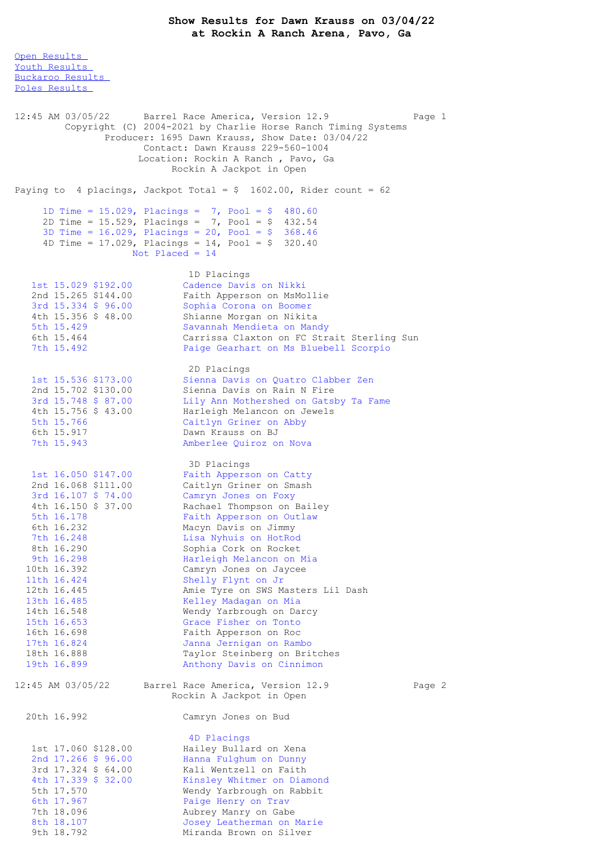Open [Results](file:///C:/Users/flori/Downloads/Show_Results_Dawn_Krauss_03_04_22.html#Open)

Youth [Results](file:///C:/Users/flori/Downloads/Show_Results_Dawn_Krauss_03_04_22.html#Youth) [Buckaroo](file:///C:/Users/flori/Downloads/Show_Results_Dawn_Krauss_03_04_22.html#Buckaroo) Results Poles [Results](file:///C:/Users/flori/Downloads/Show_Results_Dawn_Krauss_03_04_22.html#Poles) 12:45 AM 03/05/22 Barrel Race America, Version 12.9 Page 1 Copyright (C) 2004-2021 by Charlie Horse Ranch Timing Systems Producer: 1695 Dawn Krauss, Show Date: 03/04/22 Contact: Dawn Krauss 229-560-1004 Location: Rockin A Ranch , Pavo, Ga Rockin A Jackpot in Open Paying to 4 placings, Jackpot Total =  $$ 1602.00$ , Rider count = 62 1D Time = 15.029, Placings = 7, Pool = \$ 480.60 2D Time = 15.529, Placings = 7, Pool = \$ 432.54 3D Time = 16.029, Placings = 20, Pool = \$ 368.46 4D Time = 17.029, Placings = 14, Pool = \$ 320.40 Not Placed = 14 1D Placings<br>Cadence Davis on Nikki 1st 15.029 \$192.00 Cadence Davis on Nikki 2nd 15.265 \$144.00 Faith Apperson on MsMollie 3rd 15.334 \$ 96.00 Sophia Corona on Boomer 4th 15.356 \$ 48.00 Shianne Morgan on Nikita 5th 15.429 Savannah Mendieta on Mandy 6th 15.464 Carrissa Claxton on FC Strait Sterling Sun 7th 15.492 Paige Gearhart on Ms Bluebell Scorpio 2D Placings 1st 15.536 \$173.00 Sienna Davis on Quatro Clabber Zen 2nd 15.702 \$130.00 Sienna Davis on Rain N Fire 3rd 15.748 \$ 87.00 Lily Ann Mothershed on Gatsby Ta Fame 4th 15.756 \$ 43.00 Harleigh Melancon on Jewels 5th 15.766 Caitlyn Griner on Abby 6th 15.917 Dawn Krauss on BJ 7th 15.943 Amberlee Quiroz on Nova 3D Placings 1st 16.050 \$147.00 Faith Apperson on Catty 2nd 16.068 \$111.00 Caitlyn Griner on Smash 3rd 16.107 \$ 74.00 Camryn Jones on Foxy 4th 16.150 \$ 37.00 Rachael Thompson on Bailey 5th 16.178 Faith Apperson on Outlaw 6th 16.232 Macyn Davis on Jimmy 7th 16.248 Lisa Nyhuis on HotRod 8th 16.290 Sophia Cork on Rocket 9th 16.298 **Harleigh Melancon on Mia** 10th 16.392 Camryn Jones on Jaycee 11th 16.424 Shelly Flynt on Jr 12th 16.445 Amie Tyre on SWS Masters Lil Dash 13th 16.485 Kelley Madagan on Mia 14th 16.548 Wendy Yarbrough on Darcy 15th 16.653 Grace Fisher on Tonto 16th 16.698 Faith Apperson on Roc 17th 16.824 Janna Jernigan on Rambo 18th 16.888 Taylor Steinberg on Britches 19th 16.899 Anthony Davis on Cinnimon 12:45 AM 03/05/22 Barrel Race America, Version 12.9 Page 2 Rockin A Jackpot in Open 20th 16.992 Camryn Jones on Bud 4D Placings 1st 17.060 \$128.00 Hailey Bullard on Xena 2nd 17.266 \$ 96.00 Hanna Fulghum on Dunny 3rd 17.324 \$ 64.00 Kali Wentzell on Faith 4th 17.339 \$ 32.00 Kinsley Whitmer on Diamond 5th 17.570 Wendy Yarbrough on Rabbit 6th 17.967 Paige Henry on Trav 7th 18.096 **Aubrey Manry on Gabe** 8th 18.107 Josey Leatherman on Marie

9th 18.792 Miranda Brown on Silver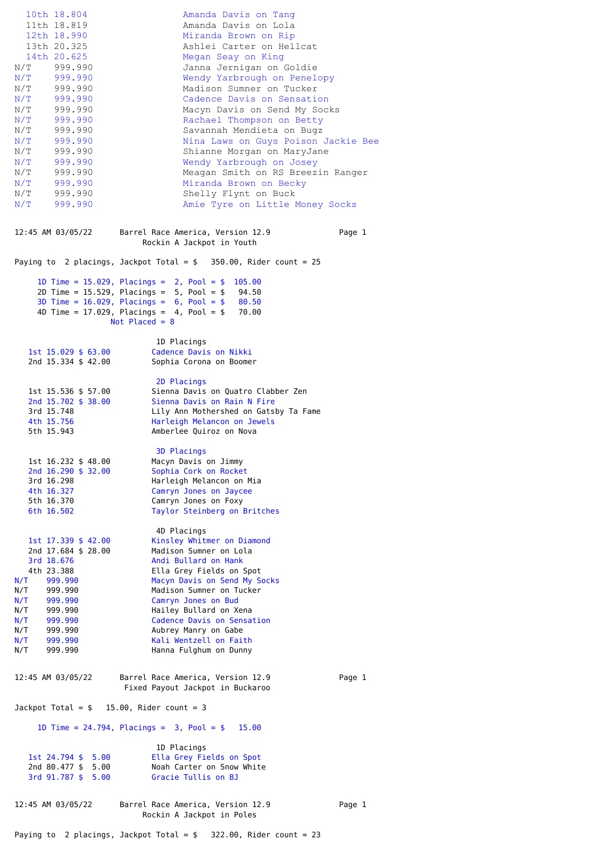| N/T<br>N/T<br>N/T<br>N/T<br>N/T<br>N/T                                       | 10th 18.804<br>11th 18.819<br>12th 18.990<br>13th 20.325<br>14th 20.625<br>N/T 999.990<br>N/T 999.990<br>N/T 999.990<br>N/T 999.990<br>N/T 999.990<br>N/T 999.990<br>999.990<br>999.990<br>999.990<br>999.990<br>999.990<br>999.990<br>N/T 999.990<br>N/T 999.990 | Amanda Davis on Tang<br>Amanda Davis on Lola<br>Miranda Brown on Rip<br>Ashlei Carter on Hellcat<br>Megan Seay on King<br>Janna Jernigan on Goldie<br>Wendy Yarbrough on Penelopy<br>Madison Sumner on Tucker<br>Cadence Davis on Sensation<br>Macyn Davis on Send My Socks<br>Rachael Thompson on Betty<br>Savannah Mendieta on Bugz<br>Nina Laws on Guys Poison Jackie Bee<br>Shianne Morgan on MaryJane<br>Wendy Yarbrough on Josey<br>Meagan Smith on RS Breezin Ranger<br>Miranda Brown on Becky<br>Shelly Flynt on Buck<br>Amie Tyre on Little Money Socks |        |
|------------------------------------------------------------------------------|-------------------------------------------------------------------------------------------------------------------------------------------------------------------------------------------------------------------------------------------------------------------|------------------------------------------------------------------------------------------------------------------------------------------------------------------------------------------------------------------------------------------------------------------------------------------------------------------------------------------------------------------------------------------------------------------------------------------------------------------------------------------------------------------------------------------------------------------|--------|
|                                                                              | 12:45 AM 03/05/22                                                                                                                                                                                                                                                 | Barrel Race America, Version 12.9<br>Rockin A Jackpot in Youth                                                                                                                                                                                                                                                                                                                                                                                                                                                                                                   | Page 1 |
| Paying to 2 placings, Jackpot Total = $$350.00$ , Rider count = 25           |                                                                                                                                                                                                                                                                   |                                                                                                                                                                                                                                                                                                                                                                                                                                                                                                                                                                  |        |
|                                                                              |                                                                                                                                                                                                                                                                   | 1D Time = 15.029, Placings = $2$ , Pool = \$ 105.00<br>2D Time = $15.529$ , Placings = $5$ , Pool = $$94.50$<br>3D Time = $16.029$ , Placings = $6$ , Pool = $$80.50$<br>4D Time = 17.029, Placings = $4$ , Pool = \$ 70.00<br>Not Placed = $8$                                                                                                                                                                                                                                                                                                                  |        |
| 1D Placings                                                                  |                                                                                                                                                                                                                                                                   |                                                                                                                                                                                                                                                                                                                                                                                                                                                                                                                                                                  |        |
|                                                                              | 1st 15.029 \$ 63.00<br>2nd 15.334 \$ 42.00                                                                                                                                                                                                                        | Cadence Davis on Nikki<br>Sophia Corona on Boomer                                                                                                                                                                                                                                                                                                                                                                                                                                                                                                                |        |
|                                                                              | 1st 15.536 \$ 57.00<br>2nd 15.702 \$ 38.00<br>3rd 15.748<br>4th 15.756<br>5th 15.943                                                                                                                                                                              | 2D Placings<br>Sienna Davis on Quatro Clabber Zen<br>Sienna Davis on Rain N Fire<br>Lily Ann Mothershed on Gatsby Ta Fame<br>Harleigh Melancon on Jewels<br>Amberlee Quiroz on Nova                                                                                                                                                                                                                                                                                                                                                                              |        |
|                                                                              | 1st 16.232 \$ 48.00<br>2nd 16.290 \$ 32.00<br>3rd 16.298<br>4th 16.327<br>5th 16.370<br>6th 16.502                                                                                                                                                                | <b>3D Placings</b><br>Macyn Davis on Jimmy<br>Sophia Cork on Rocket<br>Harleigh Melancon on Mia<br>Camryn Jones on Jaycee<br>Camryn Jones on Foxy<br>Taylor Steinberg on Britches                                                                                                                                                                                                                                                                                                                                                                                |        |
| N/T<br>N/T<br>N/T<br>N/T<br>N/T 999.990<br>N/T 999.990<br>N/T 999.990<br>N/T | 1st 17.339 \$ 42.00<br>2nd 17.684 \$ 28.00<br>3rd 18.676<br>4th 23.388<br>999.990<br>999.990<br>999.990<br>999.990<br>999.990                                                                                                                                     | 4D Placings<br>Kinsley Whitmer on Diamond<br>Madison Sumner on Lola<br>Andi Bullard on Hank<br>Ella Grey Fields on Spot<br>Macyn Davis on Send My Socks<br>Madison Sumner on Tucker<br>Camryn Jones on Bud<br>Hailey Bullard on Xena<br>Cadence Davis on Sensation<br>Aubrey Manry on Gabe<br>Kali Wentzell on Faith<br>Hanna Fulghum on Dunny                                                                                                                                                                                                                   |        |
|                                                                              | 12:45 AM 03/05/22                                                                                                                                                                                                                                                 | Barrel Race America, Version 12.9<br>Fixed Payout Jackpot in Buckaroo                                                                                                                                                                                                                                                                                                                                                                                                                                                                                            | Page 1 |
| Jackpot Total = $$$ 15.00, Rider count = 3                                   |                                                                                                                                                                                                                                                                   |                                                                                                                                                                                                                                                                                                                                                                                                                                                                                                                                                                  |        |
| 1D Time = $24.794$ , Placings = $3$ , Pool = $$$<br>15.00                    |                                                                                                                                                                                                                                                                   |                                                                                                                                                                                                                                                                                                                                                                                                                                                                                                                                                                  |        |
|                                                                              | 1st 24.794 \$ 5.00<br>2nd 80.477 \$ 5.00<br>3rd 91.787 \$ 5.00                                                                                                                                                                                                    | 1D Placings<br>Ella Grey Fields on Spot<br>Noah Carter on Snow White<br>Gracie Tullis on BJ                                                                                                                                                                                                                                                                                                                                                                                                                                                                      |        |
| 12:45 AM 03/05/22                                                            |                                                                                                                                                                                                                                                                   | Barrel Race America, Version 12.9<br>Rockin A Jackpot in Poles                                                                                                                                                                                                                                                                                                                                                                                                                                                                                                   | Page 1 |